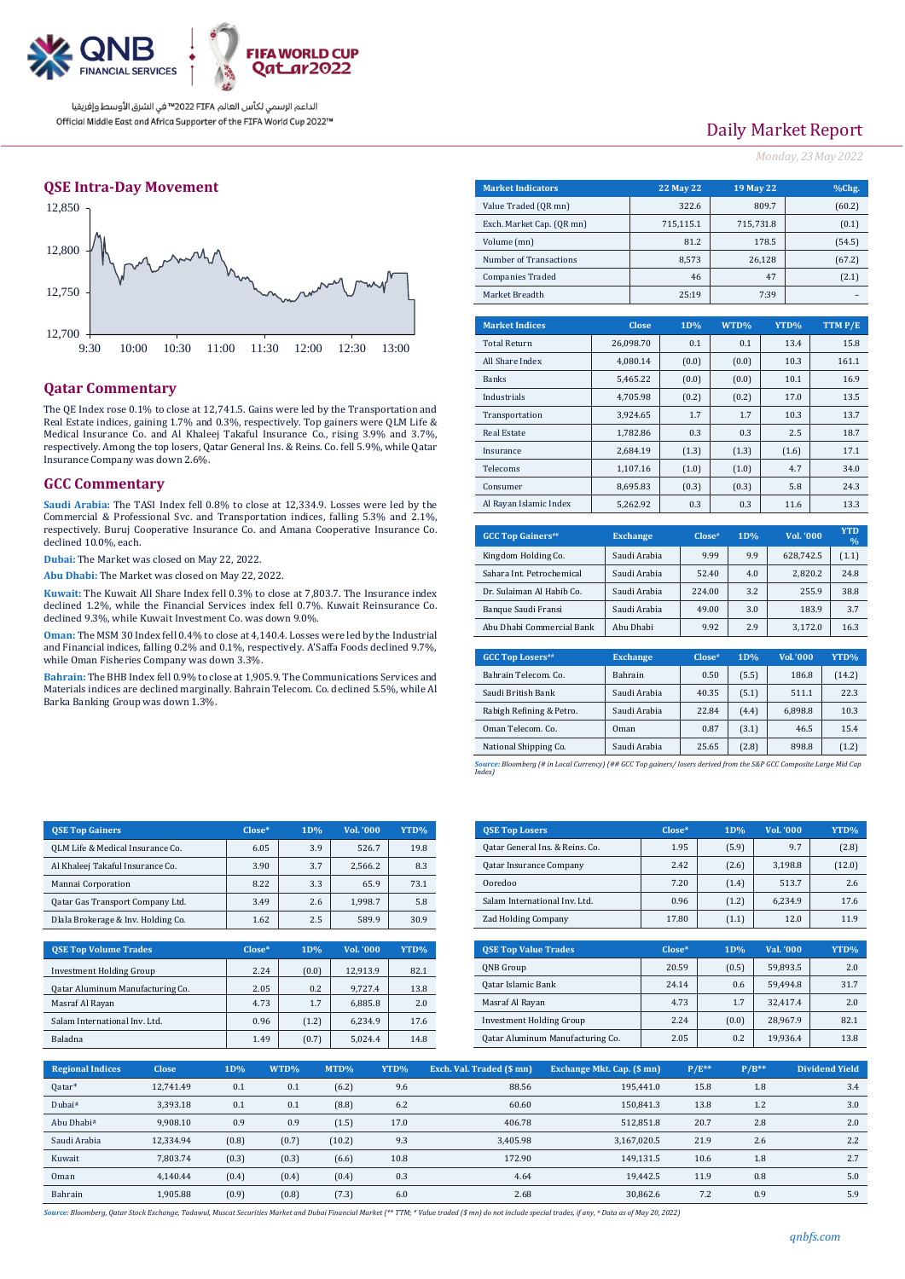

الداعم الرسمي لكأس العالم PIFA™ في الشرق الأوسط وإفريقيا Official Middle East and Africa Supporter of the FIFA World Cup 2022™

### **QSE Intra-Day Movement**



### **Qatar Commentary**

The QE Index rose  $0.1\%$  to close at  $12,741.5$ . Gains were led by the Transportation Real Estate indices, gaining 1.7% and 0.3%, respectively. Top gainers were QLM Lif Medical Insurance Co. and Al Khaleej Takaful Insurance Co., rising 3.9% and 3.7 respectively. Among the top losers, Qatar General Ins. & Reins. Co. fell 5.9%, while Qa Insurance Company was down 2.6%.

#### **GCC Commentary**

Saudi Arabia: The TASI Index fell 0.8% to close at 12.334.9. Losses were led by Commercial & Professional Svc. and Transportation indices, falling 5.3% and 2.1% respectively. Buruj Cooperative Insurance Co. and Amana Cooperative Insurance Co. declined 10.0%, each.

**Dubai:** The Market was closed on May 22, 2022.

**Abu Dhabi:** The Market was closed on May 22, 2022.

**Kuwait:** The Kuwait All Share Index fell 0.3% to close at 7,803.7. The Insurance index declined 1.2%, while the Financial Services index fell 0.7%. Kuwait Reinsurance Co. declined 9.3%, while Kuwait Investment Co. was down 9.0%.

**Oman:** The MSM 30 Index fell 0.4% to close at 4,140.4. Losses were led by the Industrial and Financial indices, falling 0.2% and 0.1%, respectively. A'Saffa Foods declined 9.7%, while Oman Fisheries Company was down 3.3%.

**Bahrain:** The BHB Index fell 0.9% to close at 1,905.9. The Communications Services and Materials indices are declined marginally. Bahrain Telecom. Co. declined 5.5%, while Al Barka Banking Group was down 1.3%.

|            |                         | Exch. Market Cap. (QR mn) |              | 715,115.1 |       | 715,731.8 | (0.1)   |  |
|------------|-------------------------|---------------------------|--------------|-----------|-------|-----------|---------|--|
|            | Volume (mn)             |                           |              |           |       | 178.5     | (54.5)  |  |
|            | Number of Transactions  |                           |              | 8,573     |       | 26,128    | (67.2)  |  |
|            | <b>Companies Traded</b> |                           |              | 46        |       | 47        | (2.1)   |  |
|            | Market Breadth          |                           |              | 25:19     |       | 7:39      |         |  |
|            |                         |                           |              |           |       |           |         |  |
|            | <b>Market Indices</b>   |                           | <b>Close</b> | 1D%       | WTD%  | YTD%      | TTM P/E |  |
|            | <b>Total Return</b>     |                           | 26,098.70    | 0.1       | 0.1   | 13.4      | 15.8    |  |
|            | All Share Index         | 4,080.14                  |              | (0.0)     | (0.0) | 10.3      | 161.1   |  |
|            | <b>Banks</b>            |                           | 5,465.22     | (0.0)     | (0.0) | 10.1      | 16.9    |  |
|            | Industrials             |                           | 4,705.98     | (0.2)     | (0.2) | 17.0      | 13.5    |  |
| and<br>e & | Transportation          |                           | 3,924.65     | 1.7       | 1.7   | 10.3      | 13.7    |  |
| 7%,        | <b>Real Estate</b>      |                           | 1,782.86     | 0.3       | 0.3   | 2.5       | 18.7    |  |
| atar       | Insurance               |                           | 2,684.19     | (1.3)     | (1.3) | (1.6)     | 17.1    |  |
|            | Telecoms                |                           | 1,107.16     | (1.0)     | (1.0) | 4.7       | 34.0    |  |
|            | Consumer                |                           | 8,695.83     | (0.3)     | (0.3) | 5.8       | 24.3    |  |
| the        | Al Rayan Islamic Index  |                           | 5,262.92     | 0.3       | 0.3   | 11.6      | 13.3    |  |
| 1%,        |                         |                           |              |           |       |           |         |  |

| <b>GCC Top Gainers</b> ## | <b>Exchange</b> | Close" | 1D% | Vol. '000 | <b>YTD</b><br>$\frac{0}{0}$ |
|---------------------------|-----------------|--------|-----|-----------|-----------------------------|
| Kingdom Holding Co.       | Saudi Arabia    | 9.99   | 9.9 | 628.742.5 | (1.1)                       |
| Sahara Int. Petrochemical | Saudi Arabia    | 52.40  | 4.0 | 2.820.2   | 24.8                        |
| Dr. Sulaiman Al Habib Co. | Saudi Arabia    | 224.00 | 3.2 | 255.9     | 38.8                        |
| Banque Saudi Fransi       | Saudi Arabia    | 49.00  | 3.0 | 183.9     | 3.7                         |
| Abu Dhabi Commercial Bank | Abu Dhabi       | 9.92   | 2.9 | 3.172.0   | 16.3                        |

**Market Indicators 22 May 22 19 May 22 %Chg.** Value Traded (QR mn)  $322.6$  809.7 (60.2)

| <b>GCC Top Losers</b> ## | <b>Exchange</b> | Close <sup>n</sup> | 1D%   | Vol.'000 | YTD%   |
|--------------------------|-----------------|--------------------|-------|----------|--------|
| Bahrain Telecom, Co.     | <b>Bahrain</b>  | 0.50               | (5.5) | 186.8    | (14.2) |
| Saudi British Bank       | Saudi Arabia    | 40.35              | (5.1) | 511.1    | 22.3   |
| Rabigh Refining & Petro. | Saudi Arabia    | 22.84              | (4.4) | 6,898.8  | 10.3   |
| Oman Telecom, Co.        | Oman            | 0.87               | (3.1) | 46.5     | 15.4   |
| National Shipping Co.    | Saudi Arabia    | 25.65              | (2.8) | 898.8    | (1.2)  |
|                          |                 |                    |       |          |        |

*Source: Bloomberg (# in Local Currency) (## GCC Top gainers/ losers derived from the S&P GCC Composite Large Mid Cap Index)*

| <b>OSE Top Gainers</b>             | $Close*$ | 1D% | Vol. '000 | YTD% |
|------------------------------------|----------|-----|-----------|------|
| QLM Life & Medical Insurance Co.   | 6.05     | 3.9 | 526.7     | 19.8 |
| Al Khaleej Takaful Insurance Co.   | 3.90     | 3.7 | 2.566.2   | 8.3  |
| Mannai Corporation                 | 8.22     | 3.3 | 65.9      | 73.1 |
| Qatar Gas Transport Company Ltd.   | 3.49     | 2.6 | 1.998.7   | 5.8  |
| Dlala Brokerage & Inv. Holding Co. | 1.62     | 2.5 | 589.9     | 30.9 |

| <b>OSE Top Volume Trades</b>     | $Close*$ | 1D%   | Vol. '000 | YTD% |
|----------------------------------|----------|-------|-----------|------|
| <b>Investment Holding Group</b>  | 2.24     | (0.0) | 12.913.9  | 82.1 |
| Qatar Aluminum Manufacturing Co. | 2.05     | 0.2   | 9.727.4   | 13.8 |
| Masraf Al Rayan                  | 4.73     | 1.7   | 6.885.8   | 2.0  |
| Salam International Inv. Ltd.    | 0.96     | (1.2) | 6.234.9   | 17.6 |
| <b>Baladna</b>                   | 1.49     | (0.7) | 5.024.4   | 14.8 |

| <b>QSE Top Losers</b>            | $Close*$ | 1D%   | Vol. '000 | YTD%   |
|----------------------------------|----------|-------|-----------|--------|
| Qatar General Ins. & Reins. Co.  | 1.95     | (5.9) | 9.7       | (2.8)  |
| <b>Qatar Insurance Company</b>   | 2.42     | (2.6) | 3,198.8   | (12.0) |
| Ooredoo                          | 7.20     | (1.4) | 513.7     | 2.6    |
| Salam International Inv. Ltd.    | 0.96     | (1.2) | 6.234.9   | 17.6   |
| <b>Zad Holding Company</b>       | 17.80    | (1.1) | 12.0      | 11.9   |
|                                  |          |       |           |        |
|                                  |          |       |           |        |
| <b>OSE Top Value Trades</b>      | $Close*$ | 1D%   | Val. '000 | YTD%   |
| QNB Group                        | 20.59    | (0.5) | 59,893.5  | 2.0    |
| Qatar Islamic Bank               | 24.14    | 0.6   | 59.494.8  | 31.7   |
| Masraf Al Rayan                  | 4.73     | 1.7   | 32,417.4  | 2.0    |
| <b>Investment Holding Group</b>  | 2.24     | (0.0) | 28.967.9  | 82.1   |
| Qatar Aluminum Manufacturing Co. | 2.05     | 0.2   | 19,936.4  | 13.8   |

| <b>Regional Indices</b> | <b>Close</b> | 1D%   | WTD%  | MTD%   | YTD% | Exch. Val. Traded (\$ mn) | Exchange Mkt. Cap. (\$ mn) | $P/E**$ | $P/B**$ | <b>Dividend Yield</b> |
|-------------------------|--------------|-------|-------|--------|------|---------------------------|----------------------------|---------|---------|-----------------------|
| Qatar*                  | 12.741.49    | 0.1   | 0.1   | (6.2)  | 9.6  | 88.56                     | 195.441.0                  | 15.8    | 1.8     | 3.4                   |
| Dubai#                  | 3,393.18     | 0.1   | 0.1   | (8.8)  | 6.2  | 60.60                     | 150,841.3                  | 13.8    | 1.2     | 3.0                   |
| Abu Dhabi#              | 9.908.10     | 0.9   | 0.9   | (1.5)  | 17.0 | 406.78                    | 512.851.8                  | 20.7    | 2.8     | 2.0                   |
| Saudi Arabia            | 12,334.94    | (0.8) | (0.7) | (10.2) | 9.3  | 3,405.98                  | 3,167,020.5                | 21.9    | 2.6     | 2.2                   |
| Kuwait                  | 7.803.74     | (0.3) | (0.3) | (6.6)  | 10.8 | 172.90                    | 149.131.5                  | 10.6    | 1.8     | 2.7                   |
| Oman                    | 4.140.44     | (0.4) | (0.4) | (0.4)  | 0.3  | 4.64                      | 19.442.5                   | 11.9    | 0.8     | 5.0                   |
| Bahrain                 | 1.905.88     | (0.9) | (0.8) | (7.3)  | 6.0  | 2.68                      | 30.862.6                   | 7.2     | 0.9     | 5.9                   |

Source: Bloombera, Oatar Stock Exchange, Tadawul, Muscat Securities Market and Dubai Financial Market (\*\* TTM: \* Value traded (\$ mn) do not include special trades, if any, \* Data as of May 20, 2022)

# *Monday, 23May 2022*

Daily Market Report

| qnbfs.com |  |  |
|-----------|--|--|
|           |  |  |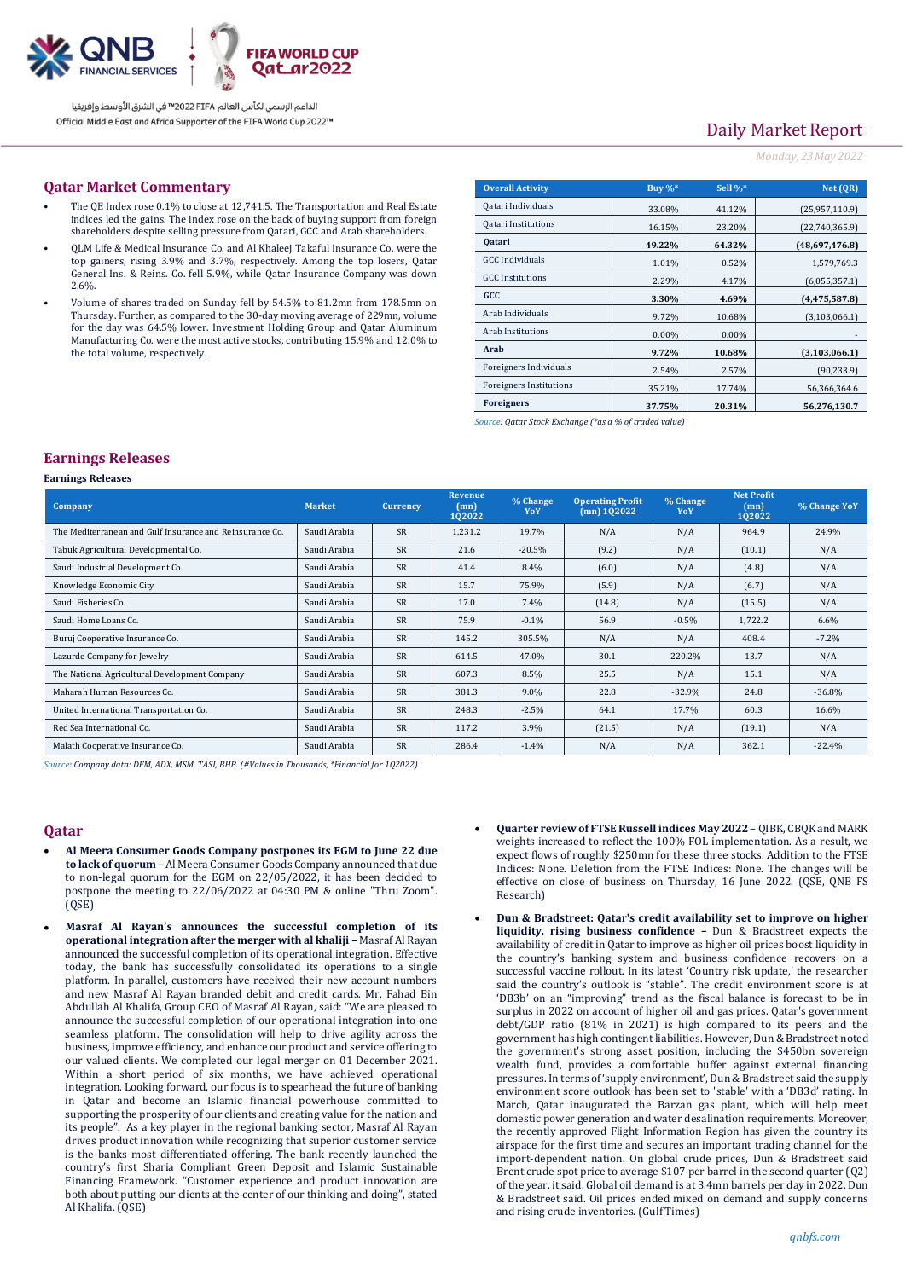

الداعم الرسمى لكأس العالم PIFA™ في الشرق الأوسط وإفريقيا Official Middle East and Africa Supporter of the FIFA World Cup 2022™

# Daily Market Report

#### *Monday, 23May 2022*

#### **Qatar Market Commentary**

- The QE Index rose 0.1% to close at 12,741.5. The Transportation and Real Estate indices led the gains. The index rose on the back of buying support from foreign shareholders despite selling pressure from Qatari, GCC and Arab shareholders.
- QLM Life & Medical Insurance Co. and Al Khaleej Takaful Insurance Co. were the top gainers, rising 3.9% and 3.7%, respectively. Among the top losers, Qatar General Ins. & Reins. Co. fell 5.9%, while Qatar Insurance Company was down 2.6%.
- Volume of shares traded on Sunday fell by 54.5% to 81.2mn from 178.5mn on Thursday. Further, as compared to the 30-day moving average of 229mn, volume for the day was 64.5% lower. Investment Holding Group and Qatar Aluminum Manufacturing Co. were the most active stocks, contributing 15.9% and 12.0% to the total volume, respectively.

| <b>Overall Activity</b>        | Buy $\%^*$ | Sell %*  | Net (QR)        |
|--------------------------------|------------|----------|-----------------|
| Qatari Individuals             | 33.08%     | 41.12%   | (25,957,110.9)  |
| <b>Qatari Institutions</b>     | 16.15%     | 23.20%   | (22,740,365.9)  |
| <b>Qatari</b>                  | 49.22%     | 64.32%   | (48,697,476.8)  |
| <b>GCC</b> Individuals         | 1.01%      | 0.52%    | 1,579,769.3     |
| <b>GCC</b> Institutions        | 2.29%      | 4.17%    | (6,055,357.1)   |
| GCC                            | 3.30%      | 4.69%    | (4, 475, 587.8) |
| Arab Individuals               | 9.72%      | 10.68%   | (3,103,066.1)   |
| <b>Arab Institutions</b>       | $0.00\%$   | $0.00\%$ |                 |
| Arab                           | 9.72%      | 10.68%   | (3, 103, 066.1) |
| Foreigners Individuals         | 2.54%      | 2.57%    | (90,233.9)      |
| <b>Foreigners Institutions</b> | 35.21%     | 17.74%   | 56,366,364.6    |
| <b>Foreigners</b>              | 37.75%     | 20.31%   | 56,276,130.7    |

*Source: Qatar Stock Exchange (\*as a % of traded value)*

#### **Earnings Releases**

#### **Earnings Releases**

| <b>Company</b>                                           | <b>Market</b> | <b>Currency</b> | Revenue<br>(mn)<br>102022 | % Change<br>YoY | <b>Operating Profit</b><br>$(mn)$ 102022 | % Change<br>YoY | <b>Net Profit</b><br>(mn)<br>102022 | % Change YoY |
|----------------------------------------------------------|---------------|-----------------|---------------------------|-----------------|------------------------------------------|-----------------|-------------------------------------|--------------|
| The Mediterranean and Gulf Insurance and Reinsurance Co. | Saudi Arabia  | <b>SR</b>       | 1,231.2                   | 19.7%           | N/A                                      | N/A             | 964.9                               | 24.9%        |
| Tabuk Agricultural Developmental Co.                     | Saudi Arabia  | <b>SR</b>       | 21.6                      | $-20.5%$        | (9.2)                                    | N/A             | (10.1)                              | N/A          |
| Saudi Industrial Development Co.                         | Saudi Arabia  | <b>SR</b>       | 41.4                      | 8.4%            | (6.0)                                    | N/A             | (4.8)                               | N/A          |
| Knowledge Economic City                                  | Saudi Arabia  | <b>SR</b>       | 15.7                      | 75.9%           | (5.9)                                    | N/A             | (6.7)                               | N/A          |
| Saudi Fisheries Co.                                      | Saudi Arabia  | <b>SR</b>       | 17.0                      | 7.4%            | (14.8)                                   | N/A             | (15.5)                              | N/A          |
| Saudi Home Loans Co.                                     | Saudi Arabia  | <b>SR</b>       | 75.9                      | $-0.1\%$        | 56.9                                     | $-0.5%$         | 1,722.2                             | 6.6%         |
| Buruj Cooperative Insurance Co.                          | Saudi Arabia  | <b>SR</b>       | 145.2                     | 305.5%          | N/A                                      | N/A             | 408.4                               | $-7.2%$      |
| Lazurde Company for Jewelry                              | Saudi Arabia  | <b>SR</b>       | 614.5                     | 47.0%           | 30.1                                     | 220.2%          | 13.7                                | N/A          |
| The National Agricultural Development Company            | Saudi Arabia  | <b>SR</b>       | 607.3                     | 8.5%            | 25.5                                     | N/A             | 15.1                                | N/A          |
| Maharah Human Resources Co.                              | Saudi Arabia  | <b>SR</b>       | 381.3                     | 9.0%            | 22.8                                     | $-32.9%$        | 24.8                                | $-36.8%$     |
| United International Transportation Co.                  | Saudi Arabia  | <b>SR</b>       | 248.3                     | $-2.5%$         | 64.1                                     | 17.7%           | 60.3                                | 16.6%        |
| Red Sea International Co.                                | Saudi Arabia  | <b>SR</b>       | 117.2                     | 3.9%            | (21.5)                                   | N/A             | (19.1)                              | N/A          |
| Malath Cooperative Insurance Co.                         | Saudi Arabia  | <b>SR</b>       | 286.4                     | $-1.4%$         | N/A                                      | N/A             | 362.1                               | $-22.4%$     |

*Source: Company data: DFM, ADX, MSM, TASI, BHB. (#Values in Thousands, \*Financial for 1Q2022)*

#### **Qatar**

- **Al Meera Consumer Goods Company postpones its EGM to June 22 due to lack of quorum –** Al Meera Consumer Goods Company announced that due to non-legal quorum for the EGM on 22/05/2022, it has been decided to postpone the meeting to 22/06/2022 at 04:30 PM & online "Thru Zoom". (QSE)
- **Masraf Al Rayan's announces the successful completion of its operational integration after the merger with al khaliji –** Masraf Al Rayan announced the successful completion of its operational integration. Effective today, the bank has successfully consolidated its operations to a single platform. In parallel, customers have received their new account numbers and new Masraf Al Rayan branded debit and credit cards. Mr. Fahad Bin Abdullah Al Khalifa, Group CEO of Masraf Al Rayan, said: "We are pleased to announce the successful completion of our operational integration into one seamless platform. The consolidation will help to drive agility across the business, improve efficiency, and enhance our product and service offering to our valued clients. We completed our legal merger on 01 December 2021. Within a short period of six months, we have achieved operational integration. Looking forward, our focus is to spearhead the future of banking in Qatar and become an Islamic financial powerhouse committed to supporting the prosperity of our clients and creating value for the nation and its people". As a key player in the regional banking sector, Masraf Al Rayan drives product innovation while recognizing that superior customer service is the banks most differentiated offering. The bank recently launched the country's first Sharia Compliant Green Deposit and Islamic Sustainable Financing Framework. "Customer experience and product innovation are both about putting our clients at the center of our thinking and doing", stated Al Khalifa. (QSE)
- **Quarter review of FTSE Russell indices May 2022** QIBK, CBQK and MARK weights increased to reflect the 100% FOL implementation. As a result, we expect flows of roughly \$250mn for these three stocks. Addition to the FTSE Indices: None. Deletion from the FTSE Indices: None. The changes will be effective on close of business on Thursday, 16 June 2022. (QSE, QNB FS Research)
- **Dun & Bradstreet: Qatar's credit availability set to improve on higher liquidity, rising business confidence –** Dun & Bradstreet expects the availability of credit in Qatar to improve as higher oil prices boost liquidity in the country's banking system and business confidence recovers on a successful vaccine rollout. In its latest 'Country risk update,' the researcher said the country's outlook is "stable". The credit environment score is at 'DB3b' on an "improving" trend as the fiscal balance is forecast to be in surplus in 2022 on account of higher oil and gas prices. Qatar's government debt/GDP ratio (81% in 2021) is high compared to its peers and the government has high contingent liabilities. However, Dun & Bradstreet noted the government's strong asset position, including the \$450bn sovereign wealth fund, provides a comfortable buffer against external financing pressures. In terms of 'supply environment', Dun & Bradstreet said the supply environment score outlook has been set to 'stable' with a 'DB3d' rating. In March, Qatar inaugurated the Barzan gas plant, which will help meet domestic power generation and water desalination requirements. Moreover, the recently approved Flight Information Region has given the country its airspace for the first time and secures an important trading channel for the import-dependent nation. On global crude prices, Dun & Bradstreet said Brent crude spot price to average \$107 per barrel in the second quarter (Q2) of the year, it said. Global oil demand is at 3.4mn barrels per day in 2022, Dun & Bradstreet said. Oil prices ended mixed on demand and supply concerns and rising crude inventories. (Gulf Times)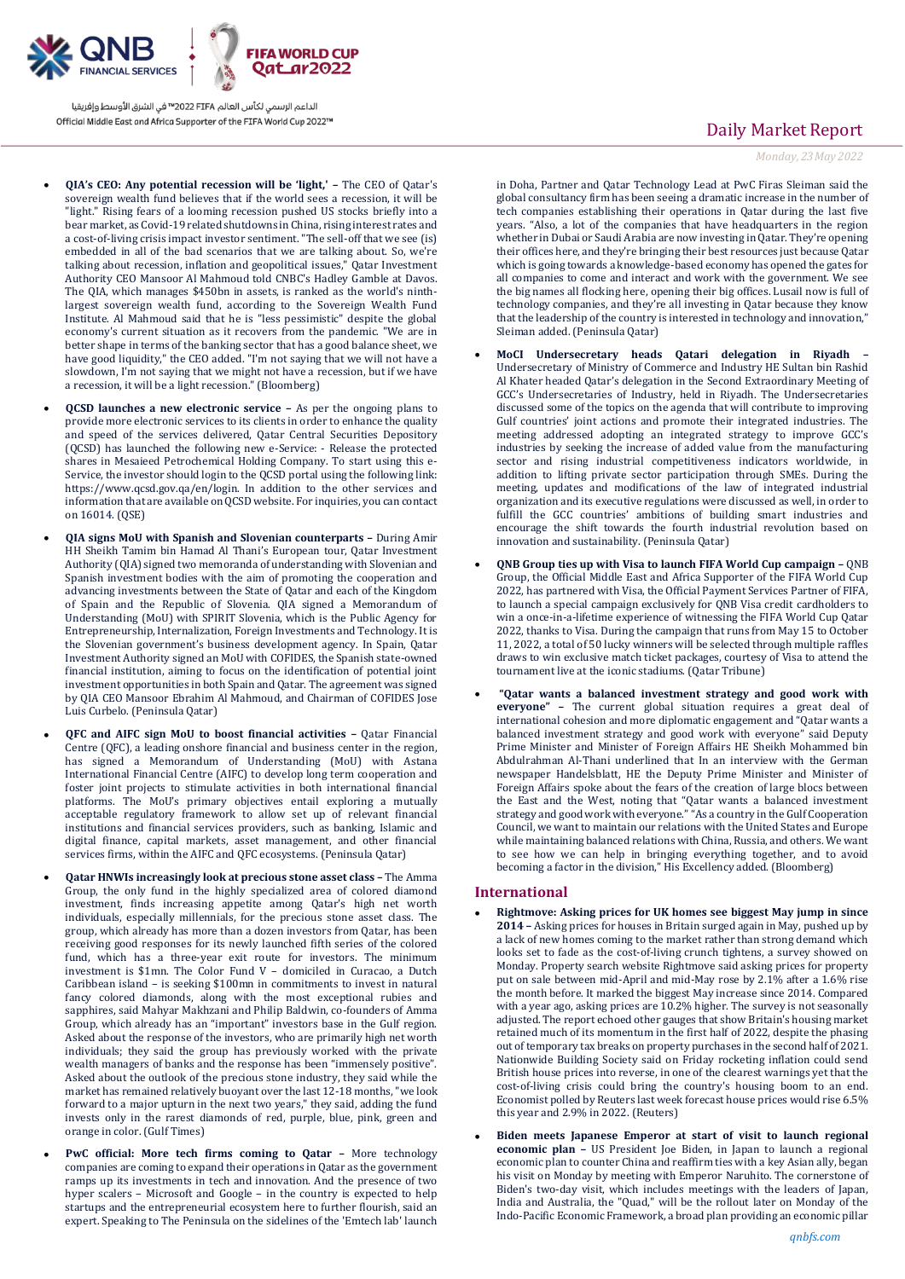

الداعم الرسمي لكأس العالم PIFA™ في الشرق الأوسط وإفريقيا Official Middle East and Africa Supporter of the FIFA World Cup 2022™

- **QIA's CEO: Any potential recession will be 'light,' –** The CEO of Qatar's sovereign wealth fund believes that if the world sees a recession, it will be "light." Rising fears of a looming recession pushed US stocks briefly into a bear market, as Covid-19 related shutdowns in China, rising interest rates and a cost-of-living crisis impact investor sentiment. "The sell-off that we see (is) embedded in all of the bad scenarios that we are talking about. So, we're talking about recession, inflation and geopolitical issues," Qatar Investment Authority CEO Mansoor Al Mahmoud told CNBC's Hadley Gamble at Davos. The QIA, which manages \$450bn in assets, is ranked as the world's ninthlargest sovereign wealth fund, according to the Sovereign Wealth Fund Institute. Al Mahmoud said that he is "less pessimistic" despite the global economy's current situation as it recovers from the pandemic. "We are in better shape in terms of the banking sector that has a good balance sheet, we have good liquidity," the CEO added. "I'm not saying that we will not have a slowdown, I'm not saying that we might not have a recession, but if we have a recession, it will be a light recession." (Bloomberg)
- **QCSD launches a new electronic service –** As per the ongoing plans to provide more electronic services to its clients in order to enhance the quality and speed of the services delivered, Qatar Central Securities Depository (QCSD) has launched the following new e-Service: - Release the protected shares in Mesaieed Petrochemical Holding Company. To start using this e-Service, the investor should login to the QCSD portal using the following link: https://www.qcsd.gov.qa/en/login. In addition to the other services and information that are available on QCSD website. For inquiries, you can contact on 16014. (QSE)
- **QIA signs MoU with Spanish and Slovenian counterparts –** During Amir HH Sheikh Tamim bin Hamad Al Thani's European tour, Qatar Investment Authority (QIA) signed two memoranda of understanding with Slovenian and Spanish investment bodies with the aim of promoting the cooperation and advancing investments between the State of Qatar and each of the Kingdom of Spain and the Republic of Slovenia. QIA signed a Memorandum of Understanding (MoU) with SPIRIT Slovenia, which is the Public Agency for Entrepreneurship, Internalization, Foreign Investments and Technology. It is the Slovenian government's business development agency. In Spain, Qatar Investment Authority signed an MoU with COFIDES, the Spanish state-owned financial institution, aiming to focus on the identification of potential joint investment opportunities in both Spain and Qatar. The agreement was signed by QIA CEO Mansoor Ebrahim Al Mahmoud, and Chairman of COFIDES Jose Luis Curbelo. (Peninsula Qatar)
- **QFC and AIFC sign MoU to boost financial activities –** Qatar Financial Centre (QFC), a leading onshore financial and business center in the region, has signed a Memorandum of Understanding (MoU) with Astana International Financial Centre (AIFC) to develop long term cooperation and foster joint projects to stimulate activities in both international financial platforms. The MoU's primary objectives entail exploring a mutually acceptable regulatory framework to allow set up of relevant financial institutions and financial services providers, such as banking, Islamic and digital finance, capital markets, asset management, and other financial services firms, within the AIFC and QFC ecosystems. (Peninsula Qatar)
- **Qatar HNWIs increasingly look at precious stone asset class –** The Amma Group, the only fund in the highly specialized area of colored diamond investment, finds increasing appetite among Qatar's high net worth individuals, especially millennials, for the precious stone asset class. The group, which already has more than a dozen investors from Qatar, has been receiving good responses for its newly launched fifth series of the colored fund, which has a three-year exit route for investors. The minimum investment is \$1mn. The Color Fund V – domiciled in Curacao, a Dutch Caribbean island – is seeking \$100mn in commitments to invest in natural fancy colored diamonds, along with the most exceptional rubies and sapphires, said Mahyar Makhzani and Philip Baldwin, co-founders of Amma Group, which already has an "important" investors base in the Gulf region. Asked about the response of the investors, who are primarily high net worth individuals; they said the group has previously worked with the private wealth managers of banks and the response has been "immensely positive". Asked about the outlook of the precious stone industry, they said while the market has remained relatively buoyant over the last 12-18 months, "we look forward to a major upturn in the next two years," they said, adding the fund invests only in the rarest diamonds of red, purple, blue, pink, green and orange in color. (Gulf Times)
- **PwC official: More tech firms coming to Qatar –** More technology companies are coming to expand their operations in Qatar as the government ramps up its investments in tech and innovation. And the presence of two hyper scalers – Microsoft and Google – in the country is expected to help startups and the entrepreneurial ecosystem here to further flourish, said an expert. Speaking to The Peninsula on the sidelines of the 'Emtech lab' launch

## Daily Market Report

*Monday, 23May 2022*

in Doha, Partner and Qatar Technology Lead at PwC Firas Sleiman said the global consultancy firm has been seeing a dramatic increase in the number of tech companies establishing their operations in Qatar during the last five years. "Also, a lot of the companies that have headquarters in the region whether in Dubai or Saudi Arabia are now investing in Qatar. They're opening their offices here, and they're bringing their best resources just because Qatar which is going towards a knowledge-based economy has opened the gates for all companies to come and interact and work with the government. We see the big names all flocking here, opening their big offices. Lusail now is full of technology companies, and they're all investing in Qatar because they know that the leadership of the country is interested in technology and innovation," Sleiman added. (Peninsula Qatar)

- **MoCI Undersecretary heads Qatari delegation in Riyadh –** Undersecretary of Ministry of Commerce and Industry HE Sultan bin Rashid Al Khater headed Qatar's delegation in the Second Extraordinary Meeting of GCC's Undersecretaries of Industry, held in Riyadh. The Undersecretaries discussed some of the topics on the agenda that will contribute to improving Gulf countries' joint actions and promote their integrated industries. The meeting addressed adopting an integrated strategy to improve GCC's industries by seeking the increase of added value from the manufacturing sector and rising industrial competitiveness indicators worldwide, in addition to lifting private sector participation through SMEs. During the meeting, updates and modifications of the law of integrated industrial organization and its executive regulations were discussed as well, in order to fulfill the GCC countries' ambitions of building smart industries and encourage the shift towards the fourth industrial revolution based on innovation and sustainability. (Peninsula Qatar)
- **QNB Group ties up with Visa to launch FIFA World Cup campaign –** QNB Group, the Official Middle East and Africa Supporter of the FIFA World Cup 2022, has partnered with Visa, the Official Payment Services Partner of FIFA, to launch a special campaign exclusively for QNB Visa credit cardholders to win a once-in-a-lifetime experience of witnessing the FIFA World Cup Qatar 2022, thanks to Visa. During the campaign that runs from May 15 to October 11, 2022, a total of 50 lucky winners will be selected through multiple raffles draws to win exclusive match ticket packages, courtesy of Visa to attend the tournament live at the iconic stadiums. (Qatar Tribune)
- **"Qatar wants a balanced investment strategy and good work with everyone" –** The current global situation requires a great deal of international cohesion and more diplomatic engagement and "Qatar wants a balanced investment strategy and good work with everyone" said Deputy Prime Minister and Minister of Foreign Affairs HE Sheikh Mohammed bin Abdulrahman Al-Thani underlined that In an interview with the German newspaper Handelsblatt, HE the Deputy Prime Minister and Minister of Foreign Affairs spoke about the fears of the creation of large blocs between the East and the West, noting that "Qatar wants a balanced investment strategy and good work with everyone." "As a country in the Gulf Cooperation Council, we want to maintain our relations with the United States and Europe while maintaining balanced relations with China, Russia, and others. We want to see how we can help in bringing everything together, and to avoid becoming a factor in the division," His Excellency added. (Bloomberg)

#### **International**

- **Rightmove: Asking prices for UK homes see biggest May jump in since 2014 –** Asking prices for houses in Britain surged again in May, pushed up by a lack of new homes coming to the market rather than strong demand which looks set to fade as the cost-of-living crunch tightens, a survey showed on Monday. Property search website Rightmove said asking prices for property put on sale between mid-April and mid-May rose by 2.1% after a 1.6% rise the month before. It marked the biggest May increase since 2014. Compared with a year ago, asking prices are 10.2% higher. The survey is not seasonally adjusted. The report echoed other gauges that show Britain's housing market retained much of its momentum in the first half of 2022, despite the phasing out of temporary tax breaks on property purchases in the second half of 2021. Nationwide Building Society said on Friday rocketing inflation could send British house prices into reverse, in one of the clearest warnings yet that the cost-of-living crisis could bring the country's housing boom to an end. Economist polled by Reuters last week forecast house prices would rise 6.5% this year and 2.9% in 2022. (Reuters)
- **Biden meets Japanese Emperor at start of visit to launch regional economic plan –** US President Joe Biden, in Japan to launch a regional economic plan to counter China and reaffirm ties with a key Asian ally, began his visit on Monday by meeting with Emperor Naruhito. The cornerstone of Biden's two-day visit, which includes meetings with the leaders of Japan, India and Australia, the "Quad," will be the rollout later on Monday of the Indo-Pacific Economic Framework, a broad plan providing an economic pillar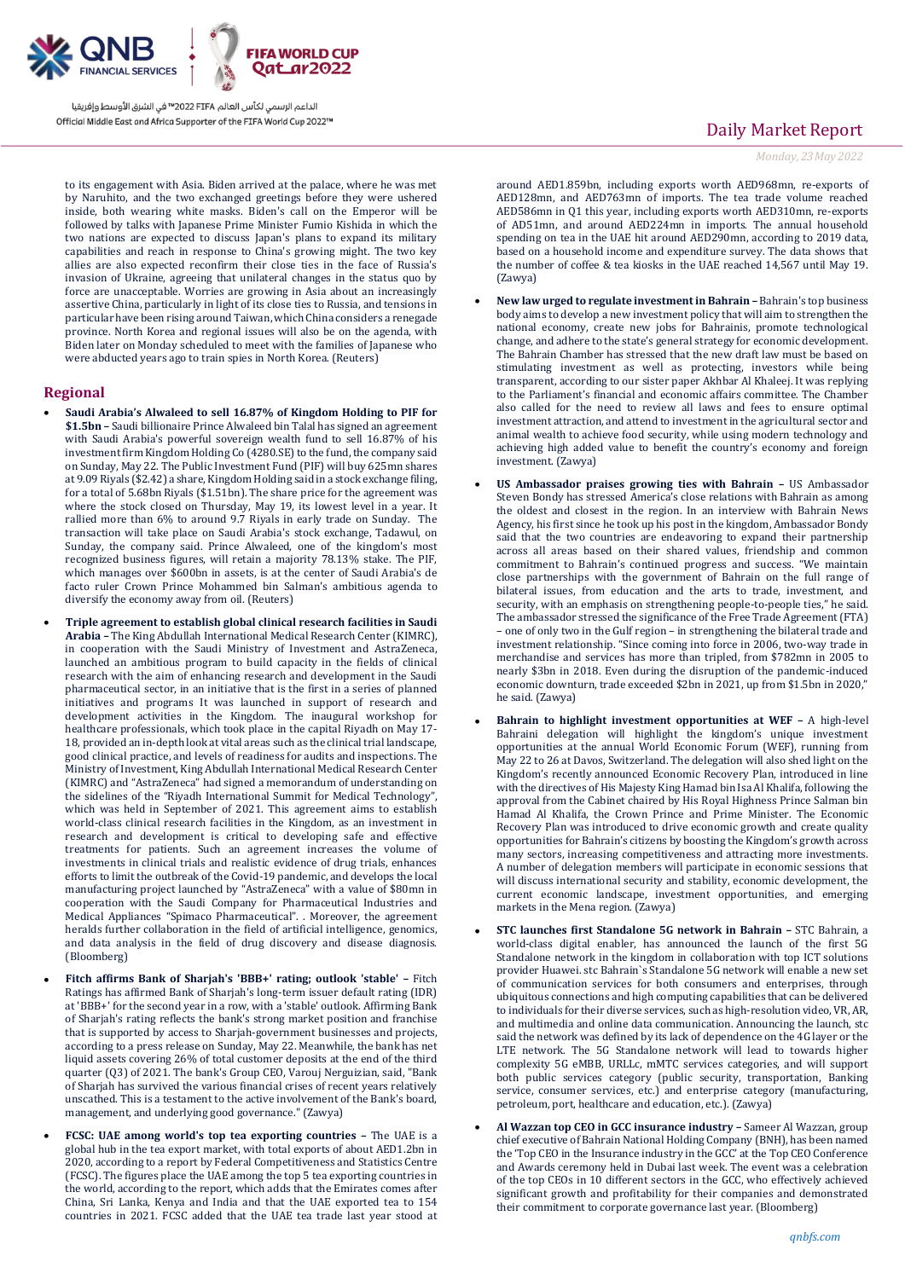

الداعم الرسمي لكأس العالم PIFA≤™ في الشرق الأوسط وإفريقيا Official Middle East and Africa Supporter of the FIFA World Cup 2022™

to its engagement with Asia. Biden arrived at the palace, where he was met by Naruhito, and the two exchanged greetings before they were ushered inside, both wearing white masks. Biden's call on the Emperor will be followed by talks with Japanese Prime Minister Fumio Kishida in which the two nations are expected to discuss Japan's plans to expand its military capabilities and reach in response to China's growing might. The two key allies are also expected reconfirm their close ties in the face of Russia's invasion of Ukraine, agreeing that unilateral changes in the status quo by force are unacceptable. Worries are growing in Asia about an increasingly assertive China, particularly in light of its close ties to Russia, and tensions in particular have been rising around Taiwan, which China considers a renegade province. North Korea and regional issues will also be on the agenda, with Biden later on Monday scheduled to meet with the families of Japanese who were abducted years ago to train spies in North Korea. (Reuters)

#### **Regional**

- **Saudi Arabia's Alwaleed to sell 16.87% of Kingdom Holding to PIF for \$1.5bn –** Saudi billionaire Prince Alwaleed bin Talal has signed an agreement with Saudi Arabia's powerful sovereign wealth fund to sell 16.87% of his investment firm Kingdom Holding Co (4280.SE) to the fund, the company said on Sunday, May 22. The Public Investment Fund (PIF) will buy 625mn shares at 9.09 Riyals (\$2.42) a share, Kingdom Holding said in a stock exchange filing, for a total of 5.68bn Riyals (\$1.51bn). The share price for the agreement was where the stock closed on Thursday, May 19, its lowest level in a year. It rallied more than 6% to around 9.7 Riyals in early trade on Sunday. The transaction will take place on Saudi Arabia's stock exchange, Tadawul, on Sunday, the company said. Prince Alwaleed, one of the kingdom's most recognized business figures, will retain a majority 78.13% stake. The PIF, which manages over \$600bn in assets, is at the center of Saudi Arabia's de facto ruler Crown Prince Mohammed bin Salman's ambitious agenda to diversify the economy away from oil. (Reuters)
- **Triple agreement to establish global clinical research facilities in Saudi Arabia –** The King Abdullah International Medical Research Center (KIMRC), in cooperation with the Saudi Ministry of Investment and AstraZeneca, launched an ambitious program to build capacity in the fields of clinical research with the aim of enhancing research and development in the Saudi pharmaceutical sector, in an initiative that is the first in a series of planned initiatives and programs It was launched in support of research and development activities in the Kingdom. The inaugural workshop for healthcare professionals, which took place in the capital Riyadh on May 17- 18, provided an in-depth look at vital areas such as the clinical trial landscape, good clinical practice, and levels of readiness for audits and inspections. The Ministry of Investment, King Abdullah International Medical Research Center (KIMRC) and "AstraZeneca" had signed a memorandum of understanding on the sidelines of the "Riyadh International Summit for Medical Technology", which was held in September of 2021. This agreement aims to establish world-class clinical research facilities in the Kingdom, as an investment in research and development is critical to developing safe and effective treatments for patients. Such an agreement increases the volume of investments in clinical trials and realistic evidence of drug trials, enhances efforts to limit the outbreak of the Covid-19 pandemic, and develops the local manufacturing project launched by "AstraZeneca" with a value of \$80mn in cooperation with the Saudi Company for Pharmaceutical Industries and Medical Appliances "Spimaco Pharmaceutical". . Moreover, the agreement heralds further collaboration in the field of artificial intelligence, genomics, and data analysis in the field of drug discovery and disease diagnosis. (Bloomberg)
- **Fitch affirms Bank of Sharjah's 'BBB+' rating; outlook 'stable' –** Fitch Ratings has affirmed Bank of Sharjah's long-term issuer default rating (IDR) at 'BBB+' for the second year in a row, with a 'stable' outlook. Affirming Bank of Sharjah's rating reflects the bank's strong market position and franchise that is supported by access to Sharjah-government businesses and projects, according to a press release on Sunday, May 22. Meanwhile, the bank has net liquid assets covering 26% of total customer deposits at the end of the third quarter (Q3) of 2021. The bank's Group CEO, Varouj Nerguizian, said, "Bank of Sharjah has survived the various financial crises of recent years relatively unscathed. This is a testament to the active involvement of the Bank's board, management, and underlying good governance." (Zawya)
- **FCSC: UAE among world's top tea exporting countries –** The UAE is a global hub in the tea export market, with total exports of about AED1.2bn in 2020, according to a report by Federal Competitiveness and Statistics Centre (FCSC). The figures place the UAE among the top 5 tea exporting countries in the world, according to the report, which adds that the Emirates comes after China, Sri Lanka, Kenya and India and that the UAE exported tea to 154 countries in 2021. FCSC added that the UAE tea trade last year stood at

## Daily Market Report

*Monday, 23May 2022*

around AED1.859bn, including exports worth AED968mn, re-exports of AED128mn, and AED763mn of imports. The tea trade volume reached AED586mn in Q1 this year, including exports worth AED310mn, re-exports of AD51mn, and around AED224mn in imports. The annual household spending on tea in the UAE hit around AED290mn, according to 2019 data, based on a household income and expenditure survey. The data shows that the number of coffee & tea kiosks in the UAE reached 14,567 until May 19. (Zawya)

- **New law urged to regulate investment in Bahrain –** Bahrain's top business body aims to develop a new investment policy that will aim to strengthen the national economy, create new jobs for Bahrainis, promote technological change, and adhere to the state's general strategy for economic development. The Bahrain Chamber has stressed that the new draft law must be based on stimulating investment as well as protecting, investors while being transparent, according to our sister paper Akhbar Al Khaleej. It was replying to the Parliament's financial and economic affairs committee. The Chamber also called for the need to review all laws and fees to ensure optimal investment attraction, and attend to investment in the agricultural sector and animal wealth to achieve food security, while using modern technology and achieving high added value to benefit the country's economy and foreign investment. (Zawya)
- **US Ambassador praises growing ties with Bahrain –** US Ambassador Steven Bondy has stressed America's close relations with Bahrain as among the oldest and closest in the region. In an interview with Bahrain News Agency, his first since he took up his post in the kingdom, Ambassador Bondy said that the two countries are endeavoring to expand their partnership across all areas based on their shared values, friendship and common commitment to Bahrain's continued progress and success. "We maintain close partnerships with the government of Bahrain on the full range of bilateral issues, from education and the arts to trade, investment, and security, with an emphasis on strengthening people-to-people ties," he said. The ambassador stressed the significance of the Free Trade Agreement (FTA) – one of only two in the Gulf region – in strengthening the bilateral trade and investment relationship. "Since coming into force in 2006, two-way trade in merchandise and services has more than tripled, from \$782mn in 2005 to nearly \$3bn in 2018. Even during the disruption of the pandemic-induced economic downturn, trade exceeded \$2bn in 2021, up from \$1.5bn in 2020," he said. (Zawya)
- **Bahrain to highlight investment opportunities at WEF –** A high-level Bahraini delegation will highlight the kingdom's unique investment opportunities at the annual World Economic Forum (WEF), running from May 22 to 26 at Davos, Switzerland. The delegation will also shed light on the Kingdom's recently announced Economic Recovery Plan, introduced in line with the directives of His Majesty King Hamad bin Isa Al Khalifa, following the approval from the Cabinet chaired by His Royal Highness Prince Salman bin Hamad Al Khalifa, the Crown Prince and Prime Minister. The Economic Recovery Plan was introduced to drive economic growth and create quality opportunities for Bahrain's citizens by boosting the Kingdom's growth across many sectors, increasing competitiveness and attracting more investments. A number of delegation members will participate in economic sessions that will discuss international security and stability, economic development, the current economic landscape, investment opportunities, and emerging markets in the Mena region. (Zawya)
- **STC launches first Standalone 5G network in Bahrain –** STC Bahrain, a world-class digital enabler, has announced the launch of the first 5G Standalone network in the kingdom in collaboration with top ICT solutions provider Huawei. stc Bahrain`s Standalone 5G network will enable a new set of communication services for both consumers and enterprises, through ubiquitous connections and high computing capabilities that can be delivered to individuals for their diverse services, such as high-resolution video, VR, AR, and multimedia and online data communication. Announcing the launch, stc said the network was defined by its lack of dependence on the 4G layer or the LTE network. The 5G Standalone network will lead to towards higher complexity 5G eMBB, URLLc, mMTC services categories, and will support both public services category (public security, transportation, Banking service, consumer services, etc.) and enterprise category (manufacturing, petroleum, port, healthcare and education, etc.). (Zawya)
- **Al Wazzan top CEO in GCC insurance industry –** Sameer Al Wazzan, group chief executive of Bahrain National Holding Company (BNH), has been named the 'Top CEO in the Insurance industry in the GCC' at the Top CEO Conference and Awards ceremony held in Dubai last week. The event was a celebration of the top CEOs in 10 different sectors in the GCC, who effectively achieved significant growth and profitability for their companies and demonstrated their commitment to corporate governance last year. (Bloomberg)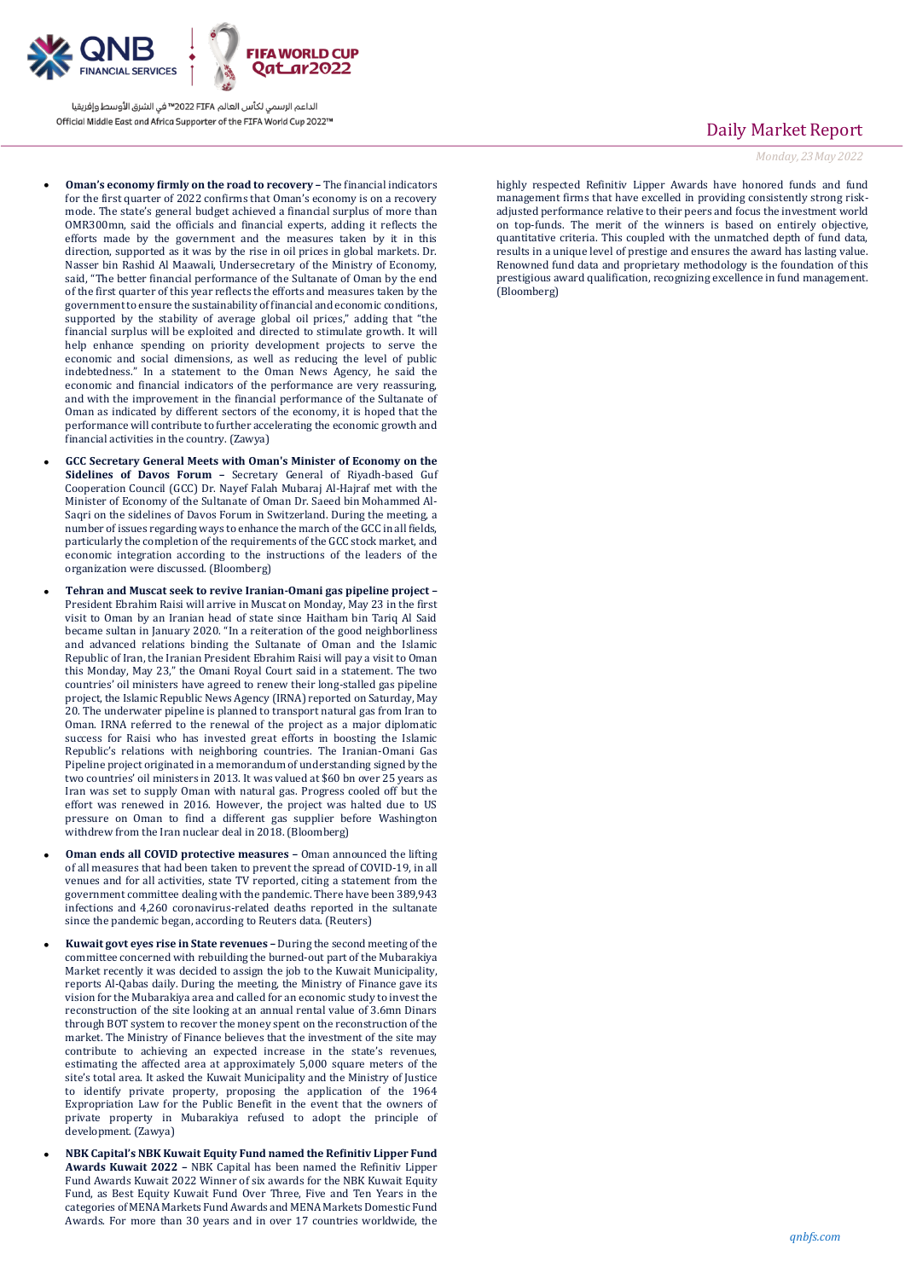

الداعم الرسمي لكأس العالم PIFA≤™ في الشرق الأوسط وإفريقيا Official Middle East and Africa Supporter of the FIFA World Cup 2022™

- **Oman's economy firmly on the road to recovery –** The financial indicators for the first quarter of 2022 confirms that Oman's economy is on a recovery mode. The state's general budget achieved a financial surplus of more than OMR300mn, said the officials and financial experts, adding it reflects the efforts made by the government and the measures taken by it in this direction, supported as it was by the rise in oil prices in global markets. Dr. Nasser bin Rashid Al Maawali, Undersecretary of the Ministry of Economy, said, "The better financial performance of the Sultanate of Oman by the end of the first quarter of this year reflects the efforts and measures taken by the government to ensure the sustainability of financial and economic conditions, supported by the stability of average global oil prices," adding that "the financial surplus will be exploited and directed to stimulate growth. It will help enhance spending on priority development projects to serve the economic and social dimensions, as well as reducing the level of public indebtedness." In a statement to the Oman News Agency, he said the economic and financial indicators of the performance are very reassuring, and with the improvement in the financial performance of the Sultanate of Oman as indicated by different sectors of the economy, it is hoped that the performance will contribute to further accelerating the economic growth and financial activities in the country. (Zawya)
- **GCC Secretary General Meets with Oman's Minister of Economy on the Sidelines of Davos Forum –** Secretary General of Riyadh-based Guf Cooperation Council (GCC) Dr. Nayef Falah Mubaraj Al-Hajraf met with the Minister of Economy of the Sultanate of Oman Dr. Saeed bin Mohammed Al-Saqri on the sidelines of Davos Forum in Switzerland. During the meeting, a number of issues regarding ways to enhance the march of the GCC in all fields, particularly the completion of the requirements of the GCC stock market, and economic integration according to the instructions of the leaders of the organization were discussed. (Bloomberg)
- **Tehran and Muscat seek to revive Iranian-Omani gas pipeline project –** President Ebrahim Raisi will arrive in Muscat on Monday, May 23 in the first visit to Oman by an Iranian head of state since Haitham bin Tariq Al Said became sultan in January 2020. "In a reiteration of the good neighborliness and advanced relations binding the Sultanate of Oman and the Islamic Republic of Iran, the Iranian President Ebrahim Raisi will pay a visit to Oman this Monday, May 23," the Omani Royal Court said in a statement. The two countries' oil ministers have agreed to renew their long-stalled gas pipeline project, the Islamic Republic News Agency (IRNA) reported on Saturday, May 20. The underwater pipeline is planned to transport natural gas from Iran to Oman. IRNA referred to the renewal of the project as a major diplomatic success for Raisi who has invested great efforts in boosting the Islamic Republic's relations with neighboring countries. The Iranian-Omani Gas Pipeline project originated in a memorandum of understanding signed by the two countries' oil ministers in 2013. It was valued at \$60 bn over 25 years as Iran was set to supply Oman with natural gas. Progress cooled off but the effort was renewed in 2016. However, the project was halted due to US pressure on Oman to find a different gas supplier before Washington withdrew from the Iran nuclear deal in 2018. (Bloomberg)
- **Oman ends all COVID protective measures –** Oman announced the lifting of all measures that had been taken to prevent the spread of COVID-19, in all venues and for all activities, state TV reported, citing a statement from the government committee dealing with the pandemic. There have been 389,943 infections and 4,260 coronavirus-related deaths reported in the sultanate since the pandemic began, according to Reuters data. (Reuters)
- **Kuwait govt eyes rise in State revenues –** During the second meeting of the committee concerned with rebuilding the burned-out part of the Mubarakiya Market recently it was decided to assign the job to the Kuwait Municipality, reports Al-Qabas daily. During the meeting, the Ministry of Finance gave its vision for the Mubarakiya area and called for an economic study to invest the reconstruction of the site looking at an annual rental value of 3.6mn Dinars through BOT system to recover the money spent on the reconstruction of the market. The Ministry of Finance believes that the investment of the site may contribute to achieving an expected increase in the state's revenues, estimating the affected area at approximately 5,000 square meters of the site's total area. It asked the Kuwait Municipality and the Ministry of Justice to identify private property, proposing the application of the 1964 Expropriation Law for the Public Benefit in the event that the owners of private property in Mubarakiya refused to adopt the principle of development. (Zawya)
- **NBK Capital's NBK Kuwait Equity Fund named the Refinitiv Lipper Fund Awards Kuwait 2022 –** NBK Capital has been named the Refinitiv Lipper Fund Awards Kuwait 2022 Winner of six awards for the NBK Kuwait Equity Fund, as Best Equity Kuwait Fund Over Three, Five and Ten Years in the categories of MENA Markets Fund Awards and MENA Markets Domestic Fund Awards. For more than 30 years and in over 17 countries worldwide, the

### Daily Market Report

*Monday, 23May 2022*

highly respected Refinitiv Lipper Awards have honored funds and fund management firms that have excelled in providing consistently strong riskadjusted performance relative to their peers and focus the investment world on top-funds. The merit of the winners is based on entirely objective, quantitative criteria. This coupled with the unmatched depth of fund data, results in a unique level of prestige and ensures the award has lasting value. Renowned fund data and proprietary methodology is the foundation of this prestigious award qualification, recognizing excellence in fund management. (Bloomberg)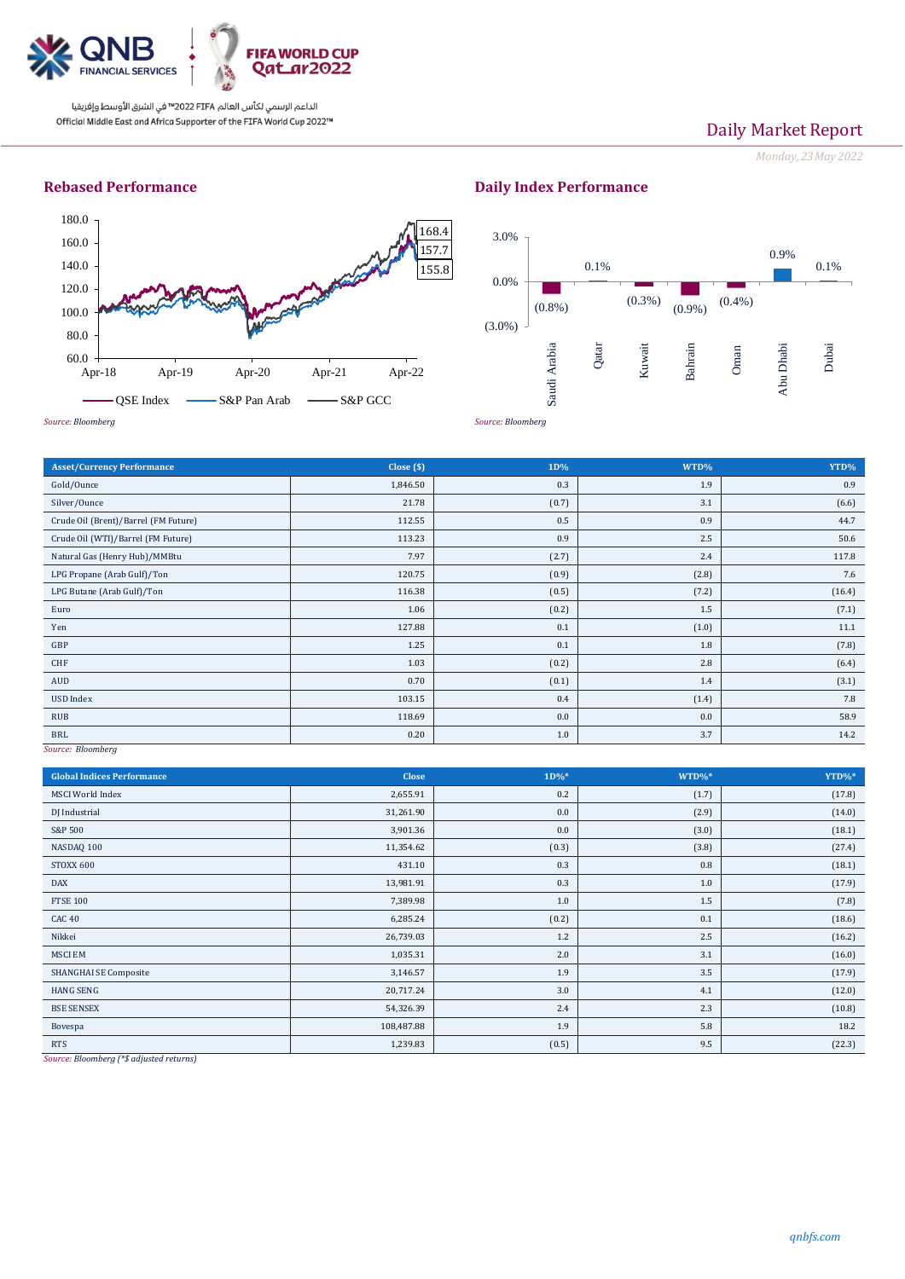

الداعم الرسمي لكأس العالم PIFA™ في الشرق الأوسط وإفريقيا Official Middle East and Africa Supporter of the FIFA World Cup 2022™

# Daily Market Report

*Monday, 23May 2022*

### **Rebased Performance**



## **Daily Index Performance**



| <b>Asset/Currency Performance</b>    | Close $(\$)$ | 1D%   | WTD%  | YTD%   |
|--------------------------------------|--------------|-------|-------|--------|
| Gold/Ounce                           | 1,846.50     | 0.3   | 1.9   | 0.9    |
| Silver/Ounce                         | 21.78        | (0.7) | 3.1   | (6.6)  |
| Crude Oil (Brent)/Barrel (FM Future) | 112.55       | 0.5   | 0.9   | 44.7   |
| Crude Oil (WTI)/Barrel (FM Future)   | 113.23       | 0.9   | 2.5   | 50.6   |
| Natural Gas (Henry Hub)/MMBtu        | 7.97         | (2.7) | 2.4   | 117.8  |
| LPG Propane (Arab Gulf)/Ton          | 120.75       | (0.9) | (2.8) | 7.6    |
| LPG Butane (Arab Gulf)/Ton           | 116.38       | (0.5) | (7.2) | (16.4) |
| Euro                                 | 1.06         | (0.2) | 1.5   | (7.1)  |
| Yen                                  | 127.88       | 0.1   | (1.0) | 11.1   |
| GBP                                  | 1.25         | 0.1   | 1.8   | (7.8)  |
| CHF                                  | 1.03         | (0.2) | 2.8   | (6.4)  |
| AUD                                  | 0.70         | (0.1) | 1.4   | (3.1)  |
| USD Index                            | 103.15       | 0.4   | (1.4) | 7.8    |
| <b>RUB</b>                           | 118.69       | 0.0   | 0.0   | 58.9   |
| <b>BRL</b><br>$-1$                   | 0.20         | 1.0   | 3.7   | 14.2   |

*Source: Bloomberg*

| <b>Global Indices Performance</b> | <b>Close</b> | $1D\%*$ | WTD%* | YTD%*  |
|-----------------------------------|--------------|---------|-------|--------|
| <b>MSCI</b> World Index           | 2,655.91     | 0.2     | (1.7) | (17.8) |
| DJ Industrial                     | 31,261.90    | 0.0     | (2.9) | (14.0) |
| S&P 500                           | 3,901.36     | 0.0     | (3.0) | (18.1) |
| NASDAQ 100                        | 11,354.62    | (0.3)   | (3.8) | (27.4) |
| STOXX 600                         | 431.10       | 0.3     | 0.8   | (18.1) |
| <b>DAX</b>                        | 13,981.91    | 0.3     | 1.0   | (17.9) |
| <b>FTSE 100</b>                   | 7,389.98     | 1.0     | 1.5   | (7.8)  |
| CAC <sub>40</sub>                 | 6,285.24     | (0.2)   | 0.1   | (18.6) |
| Nikkei                            | 26,739.03    | 1.2     | 2.5   | (16.2) |
| <b>MSCI EM</b>                    | 1,035.31     | 2.0     | 3.1   | (16.0) |
| SHANGHAI SE Composite             | 3,146.57     | 1.9     | 3.5   | (17.9) |
| <b>HANG SENG</b>                  | 20,717.24    | 3.0     | 4.1   | (12.0) |
| <b>BSE SENSEX</b>                 | 54,326.39    | 2.4     | 2.3   | (10.8) |
| Bovespa                           | 108,487.88   | 1.9     | 5.8   | 18.2   |
| <b>RTS</b>                        | 1,239.83     | (0.5)   | 9.5   | (22.3) |

*Source: Bloomberg (\*\$ adjusted returns)*